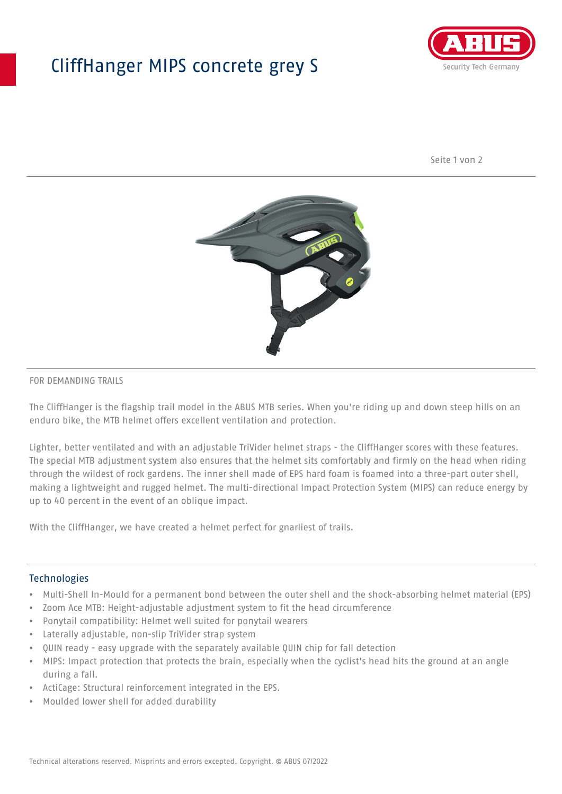## CliffHanger MIPS concrete grey S



Seite 1 von 2



### FOR DEMANDING TRAILS

The CliffHanger is the flagship trail model in the ABUS MTB series. When you're riding up and down steep hills on an enduro bike, the MTB helmet offers excellent ventilation and protection.

Lighter, better ventilated and with an adjustable TriVider helmet straps - the CliffHanger scores with these features. The special MTB adjustment system also ensures that the helmet sits comfortably and firmly on the head when riding through the wildest of rock gardens. The inner shell made of EPS hard foam is foamed into a three-part outer shell, making a lightweight and rugged helmet. The multi-directional Impact Protection System (MIPS) can reduce energy by up to 40 percent in the event of an oblique impact.

With the CliffHanger, we have created a helmet perfect for gnarliest of trails.

#### Technologies

- Multi-Shell In-Mould for a permanent bond between the outer shell and the shock-absorbing helmet material (EPS)
- Zoom Ace MTB: Height-adjustable adjustment system to fit the head circumference
- Ponytail compatibility: Helmet well suited for ponytail wearers
- Laterally adjustable, non-slip TriVider strap system
- QUIN ready easy upgrade with the separately available QUIN chip for fall detection
- MIPS: Impact protection that protects the brain, especially when the cyclist's head hits the ground at an angle during a fall.
- ActiCage: Structural reinforcement integrated in the EPS.
- Moulded lower shell for added durability